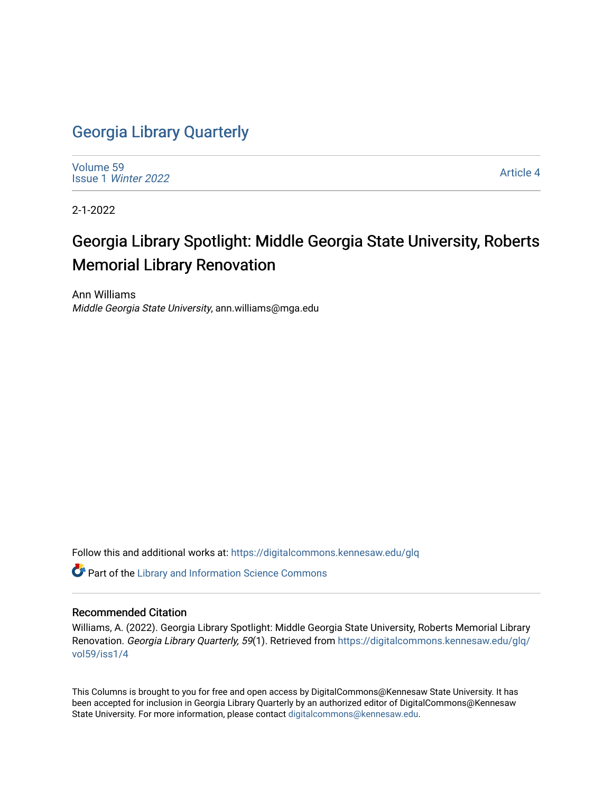## [Georgia Library Quarterly](https://digitalcommons.kennesaw.edu/glq)

[Volume 59](https://digitalcommons.kennesaw.edu/glq/vol59) Issue 1 [Winter 2022](https://digitalcommons.kennesaw.edu/glq/vol59/iss1) 

[Article 4](https://digitalcommons.kennesaw.edu/glq/vol59/iss1/4) 

2-1-2022

# Georgia Library Spotlight: Middle Georgia State University, Roberts Memorial Library Renovation

Ann Williams Middle Georgia State University, ann.williams@mga.edu

Follow this and additional works at: [https://digitalcommons.kennesaw.edu/glq](https://digitalcommons.kennesaw.edu/glq?utm_source=digitalcommons.kennesaw.edu%2Fglq%2Fvol59%2Fiss1%2F4&utm_medium=PDF&utm_campaign=PDFCoverPages) 

Part of the [Library and Information Science Commons](http://network.bepress.com/hgg/discipline/1018?utm_source=digitalcommons.kennesaw.edu%2Fglq%2Fvol59%2Fiss1%2F4&utm_medium=PDF&utm_campaign=PDFCoverPages) 

#### Recommended Citation

Williams, A. (2022). Georgia Library Spotlight: Middle Georgia State University, Roberts Memorial Library Renovation. Georgia Library Quarterly, 59(1). Retrieved from [https://digitalcommons.kennesaw.edu/glq/](https://digitalcommons.kennesaw.edu/glq/vol59/iss1/4?utm_source=digitalcommons.kennesaw.edu%2Fglq%2Fvol59%2Fiss1%2F4&utm_medium=PDF&utm_campaign=PDFCoverPages) [vol59/iss1/4](https://digitalcommons.kennesaw.edu/glq/vol59/iss1/4?utm_source=digitalcommons.kennesaw.edu%2Fglq%2Fvol59%2Fiss1%2F4&utm_medium=PDF&utm_campaign=PDFCoverPages)

This Columns is brought to you for free and open access by DigitalCommons@Kennesaw State University. It has been accepted for inclusion in Georgia Library Quarterly by an authorized editor of DigitalCommons@Kennesaw State University. For more information, please contact [digitalcommons@kennesaw.edu.](mailto:digitalcommons@kennesaw.edu)